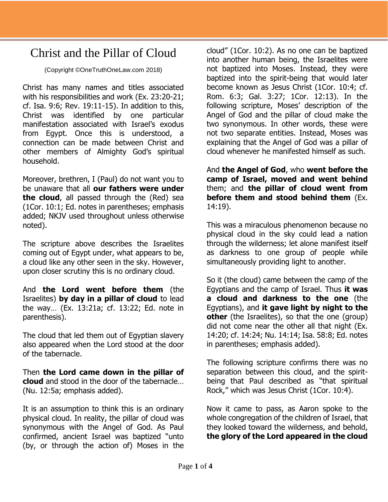## Christ and the Pillar of Cloud

(Copyright ©OneTruthOneLaw.com 2018)

Christ has many names and titles associated with his responsibilities and work (Ex. 23:20-21; cf. Isa. 9:6; Rev. 19:11-15). In addition to this, Christ was identified by one particular manifestation associated with Israel's exodus from Egypt. Once this is understood, a connection can be made between Christ and other members of Almighty God's spiritual household.

Moreover, brethren, I (Paul) do not want you to be unaware that all **our fathers were under the cloud**, all passed through the (Red) sea (1Cor. 10:1; Ed. notes in parentheses; emphasis added; NKJV used throughout unless otherwise noted).

The scripture above describes the Israelites coming out of Egypt under, what appears to be, a cloud like any other seen in the sky. However, upon closer scrutiny this is no ordinary cloud.

And **the Lord went before them** (the Israelites) **by day in a pillar of cloud** to lead the way… (Ex. 13:21a; cf. 13:22; Ed. note in parenthesis).

The cloud that led them out of Egyptian slavery also appeared when the Lord stood at the door of the tabernacle.

Then **the Lord came down in the pillar of cloud** and stood in the door of the tabernacle… (Nu. 12:5a; emphasis added).

It is an assumption to think this is an ordinary physical cloud. In reality, the pillar of cloud was synonymous with the Angel of God. As Paul confirmed, ancient Israel was baptized "unto (by, or through the action of) Moses in the

cloud" (1Cor. 10:2). As no one can be baptized into another human being, the Israelites were not baptized into Moses. Instead, they were baptized into the spirit-being that would later become known as Jesus Christ (1Cor. 10:4; cf. Rom. 6:3; Gal. 3:27; 1Cor. 12:13). In the following scripture, Moses' description of the Angel of God and the pillar of cloud make the two synonymous. In other words, these were not two separate entities. Instead, Moses was explaining that the Angel of God was a pillar of cloud whenever he manifested himself as such.

And **the Angel of God**, who **went before the camp of Israel, moved and went behind** them; and **the pillar of cloud went from before them and stood behind them** (Ex. 14:19).

This was a miraculous phenomenon because no physical cloud in the sky could lead a nation through the wilderness; let alone manifest itself as darkness to one group of people while simultaneously providing light to another.

So it (the cloud) came between the camp of the Egyptians and the camp of Israel. Thus **it was a cloud and darkness to the one** (the Egyptians), and **it gave light by night to the other** (the Israelites), so that the one (group) did not come near the other all that night (Ex. 14:20; cf. 14:24; Nu. 14:14; Isa. 58:8; Ed. notes in parentheses; emphasis added).

The following scripture confirms there was no separation between this cloud, and the spiritbeing that Paul described as "that spiritual Rock," which was Jesus Christ (1Cor. 10:4).

Now it came to pass, as Aaron spoke to the whole congregation of the children of Israel, that they looked toward the wilderness, and behold, **the glory of the Lord appeared in the cloud**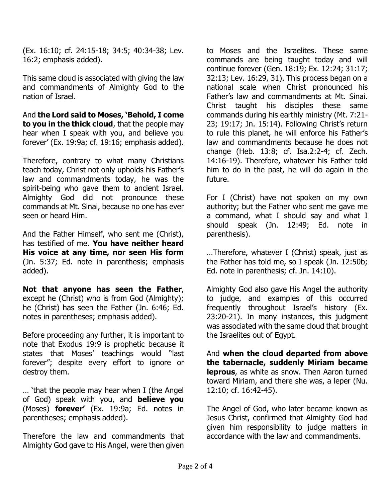(Ex. 16:10; cf. 24:15-18; 34:5; 40:34-38; Lev. 16:2; emphasis added).

This same cloud is associated with giving the law and commandments of Almighty God to the nation of Israel.

And **the Lord said to Moses, 'Behold, I come to you in the thick cloud**, that the people may hear when I speak with you, and believe you forever' (Ex. 19:9a; cf. 19:16; emphasis added).

Therefore, contrary to what many Christians teach today, Christ not only upholds his Father's law and commandments today, he was the spirit-being who gave them to ancient Israel. Almighty God did not pronounce these commands at Mt. Sinai, because no one has ever seen or heard Him.

And the Father Himself, who sent me (Christ), has testified of me. **You have neither heard His voice at any time, nor seen His form** (Jn. 5:37; Ed. note in parenthesis; emphasis added).

**Not that anyone has seen the Father**, except he (Christ) who is from God (Almighty); he (Christ) has seen the Father (Jn. 6:46; Ed. notes in parentheses; emphasis added).

Before proceeding any further, it is important to note that Exodus 19:9 is prophetic because it states that Moses' teachings would "last forever"; despite every effort to ignore or destroy them.

… 'that the people may hear when I (the Angel of God) speak with you, and **believe you** (Moses) **forever'** (Ex. 19:9a; Ed. notes in parentheses; emphasis added).

Therefore the law and commandments that Almighty God gave to His Angel, were then given

to Moses and the Israelites. These same commands are being taught today and will continue forever (Gen. 18:19; Ex. 12:24; 31:17; 32:13; Lev. 16:29, 31). This process began on a national scale when Christ pronounced his Father's law and commandments at Mt. Sinai. Christ taught his disciples these same commands during his earthly ministry (Mt. 7:21- 23; 19:17; Jn. 15:14). Following Christ's return to rule this planet, he will enforce his Father's law and commandments because he does not change (Heb. 13:8; cf. Isa.2:2-4; cf. Zech. 14:16-19). Therefore, whatever his Father told him to do in the past, he will do again in the future.

For I (Christ) have not spoken on my own authority; but the Father who sent me gave me a command, what I should say and what I should speak (Jn. 12:49; Ed. note in parenthesis).

…Therefore, whatever I (Christ) speak, just as the Father has told me, so I speak (Jn. 12:50b; Ed. note in parenthesis; cf. Jn. 14:10).

Almighty God also gave His Angel the authority to judge, and examples of this occurred frequently throughout Israel's history (Ex. 23:20-21). In many instances, this judgment was associated with the same cloud that brought the Israelites out of Egypt.

And **when the cloud departed from above the tabernacle, suddenly Miriam became leprous**, as white as snow. Then Aaron turned toward Miriam, and there she was, a leper (Nu. 12:10; cf. 16:42-45).

The Angel of God, who later became known as Jesus Christ, confirmed that Almighty God had given him responsibility to judge matters in accordance with the law and commandments.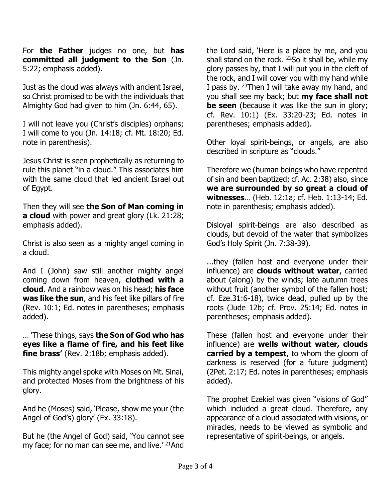For **the Father** judges no one, but **has committed all judgment to the Son** (Jn. 5:22; emphasis added).

Just as the cloud was always with ancient Israel, so Christ promised to be with the individuals that Almighty God had given to him (Jn. 6:44, 65).

I will not leave you (Christ's disciples) orphans; I will come to you (Jn. 14:18; cf. Mt. 18:20; Ed. note in parenthesis).

Jesus Christ is seen prophetically as returning to rule this planet "in a cloud." This associates him with the same cloud that led ancient Israel out of Egypt.

Then they will see **the Son of Man coming in a cloud** with power and great glory (Lk. 21:28; emphasis added).

Christ is also seen as a mighty angel coming in a cloud.

And I (John) saw still another mighty angel coming down from heaven, **clothed with a cloud**. And a rainbow was on his head; **his face was like the sun**, and his feet like pillars of fire (Rev. 10:1; Ed. notes in parentheses; emphasis added).

… 'These things, says **the Son of God who has eyes like a flame of fire, and his feet like fine brass'** (Rev. 2:18b; emphasis added).

This mighty angel spoke with Moses on Mt. Sinai, and protected Moses from the brightness of his glory.

And he (Moses) said, 'Please, show me your (the Angel of God's) glory' (Ex. 33:18).

But he (the Angel of God) said, 'You cannot see my face; for no man can see me, and live.' <sup>21</sup>And

the Lord said, 'Here is a place by me, and you shall stand on the rock.  $^{22}$ So it shall be, while my glory passes by, that I will put you in the cleft of the rock, and I will cover you with my hand while I pass by. <sup>23</sup>Then I will take away my hand, and you shall see my back; but **my face shall not be seen** (because it was like the sun in glory; cf. Rev. 10:1) (Ex. 33:20-23; Ed. notes in parentheses; emphasis added).

Other loyal spirit-beings, or angels, are also described in scripture as "clouds."

Therefore we (human beings who have repented of sin and been baptized; cf. Ac. 2:38) also, since **we are surrounded by so great a cloud of witnesses**… (Heb. 12:1a; cf. Heb. 1:13-14; Ed. note in parenthesis; emphasis added).

Disloyal spirit-beings are also described as clouds, but devoid of the water that symbolizes God's Holy Spirit (Jn. 7:38-39).

...they (fallen host and everyone under their influence) are **clouds without water**, carried about (along) by the winds; late autumn trees without fruit (another symbol of the fallen host; cf. Eze.31:6-18), twice dead, pulled up by the roots (Jude 12b; cf. Prov. 25:14; Ed. notes in parentheses; emphasis added).

These (fallen host and everyone under their influence) are **wells without water, clouds carried by a tempest**, to whom the gloom of darkness is reserved (for a future judgment) (2Pet. 2:17; Ed. notes in parentheses; emphasis added).

The prophet Ezekiel was given "visions of God" which included a great cloud. Therefore, any appearance of a cloud associated with visions, or miracles, needs to be viewed as symbolic and representative of spirit-beings, or angels.